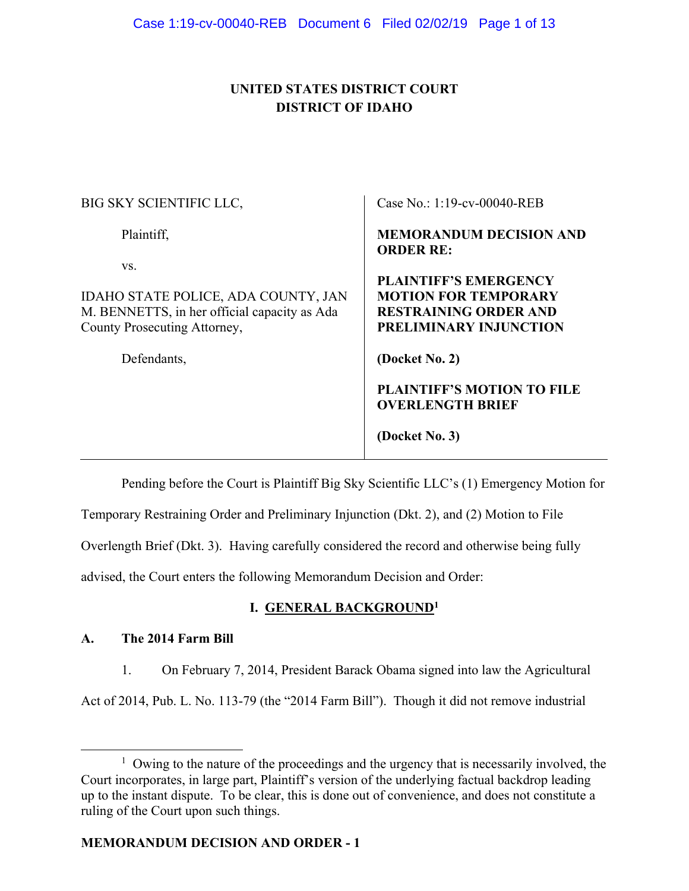# **UNITED STATES DISTRICT COURT DISTRICT OF IDAHO**

| BIG SKY SCIENTIFIC LLC,                                                                                                                   | Case No.: 1:19-cv-00040-REB                                                                                                             |
|-------------------------------------------------------------------------------------------------------------------------------------------|-----------------------------------------------------------------------------------------------------------------------------------------|
| Plaintiff,                                                                                                                                | <b>MEMORANDUM DECISION AND</b><br><b>ORDER RE:</b>                                                                                      |
| VS.<br>IDAHO STATE POLICE, ADA COUNTY, JAN<br>M. BENNETTS, in her official capacity as Ada<br>County Prosecuting Attorney,<br>Defendants, | <b>PLAINTIFF'S EMERGENCY</b><br><b>MOTION FOR TEMPORARY</b><br><b>RESTRAINING ORDER AND</b><br>PRELIMINARY INJUNCTION<br>(Docket No. 2) |
|                                                                                                                                           | <b>PLAINTIFF'S MOTION TO FILE</b><br><b>OVERLENGTH BRIEF</b><br>(Docket No. 3)                                                          |

Pending before the Court is Plaintiff Big Sky Scientific LLC's (1) Emergency Motion for

Temporary Restraining Order and Preliminary Injunction (Dkt. 2), and (2) Motion to File

Overlength Brief (Dkt. 3). Having carefully considered the record and otherwise being fully

advised, the Court enters the following Memorandum Decision and Order:

# **I. GENERAL BACKGROUND1**

# **A. The 2014 Farm Bill**

1. On February 7, 2014, President Barack Obama signed into law the Agricultural

Act of 2014, Pub. L. No. 113-79 (the "2014 Farm Bill"). Though it did not remove industrial

 $\overline{\phantom{a}1}$  $\frac{1}{1}$  Owing to the nature of the proceedings and the urgency that is necessarily involved, the Court incorporates, in large part, Plaintiff's version of the underlying factual backdrop leading up to the instant dispute. To be clear, this is done out of convenience, and does not constitute a ruling of the Court upon such things.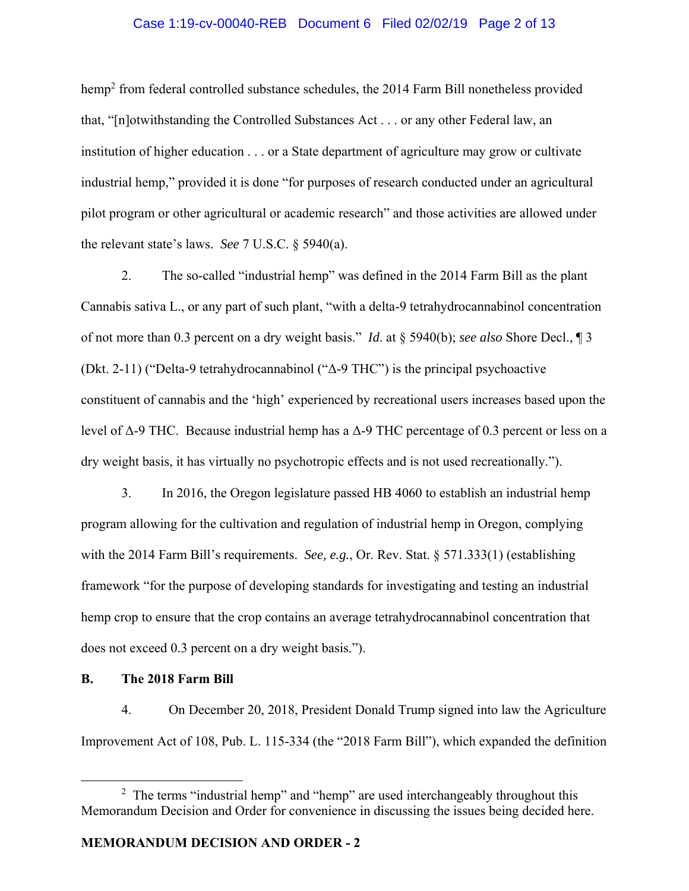### Case 1:19-cv-00040-REB Document 6 Filed 02/02/19 Page 2 of 13

hemp<sup>2</sup> from federal controlled substance schedules, the 2014 Farm Bill nonetheless provided that, "[n]otwithstanding the Controlled Substances Act . . . or any other Federal law, an institution of higher education . . . or a State department of agriculture may grow or cultivate industrial hemp," provided it is done "for purposes of research conducted under an agricultural pilot program or other agricultural or academic research" and those activities are allowed under the relevant state's laws. *See* 7 U.S.C. § 5940(a).

2. The so-called "industrial hemp" was defined in the 2014 Farm Bill as the plant Cannabis sativa L., or any part of such plant, "with a delta-9 tetrahydrocannabinol concentration of not more than 0.3 percent on a dry weight basis." *Id*. at § 5940(b); *see also* Shore Decl., ¶ 3 (Dkt. 2-11) ("Delta-9 tetrahydrocannabinol ("Δ-9 THC") is the principal psychoactive constituent of cannabis and the 'high' experienced by recreational users increases based upon the level of Δ-9 THC. Because industrial hemp has a  $Δ$ -9 THC percentage of 0.3 percent or less on a dry weight basis, it has virtually no psychotropic effects and is not used recreationally.").

3. In 2016, the Oregon legislature passed HB 4060 to establish an industrial hemp program allowing for the cultivation and regulation of industrial hemp in Oregon, complying with the 2014 Farm Bill's requirements. *See, e.g.*, Or. Rev. Stat. § 571.333(1) (establishing framework "for the purpose of developing standards for investigating and testing an industrial hemp crop to ensure that the crop contains an average tetrahydrocannabinol concentration that does not exceed 0.3 percent on a dry weight basis.").

**B. The 2018 Farm Bill** 

4. On December 20, 2018, President Donald Trump signed into law the Agriculture Improvement Act of 108, Pub. L. 115-334 (the "2018 Farm Bill"), which expanded the definition

 $\frac{1}{2}$ <sup>2</sup> The terms "industrial hemp" and "hemp" are used interchangeably throughout this Memorandum Decision and Order for convenience in discussing the issues being decided here.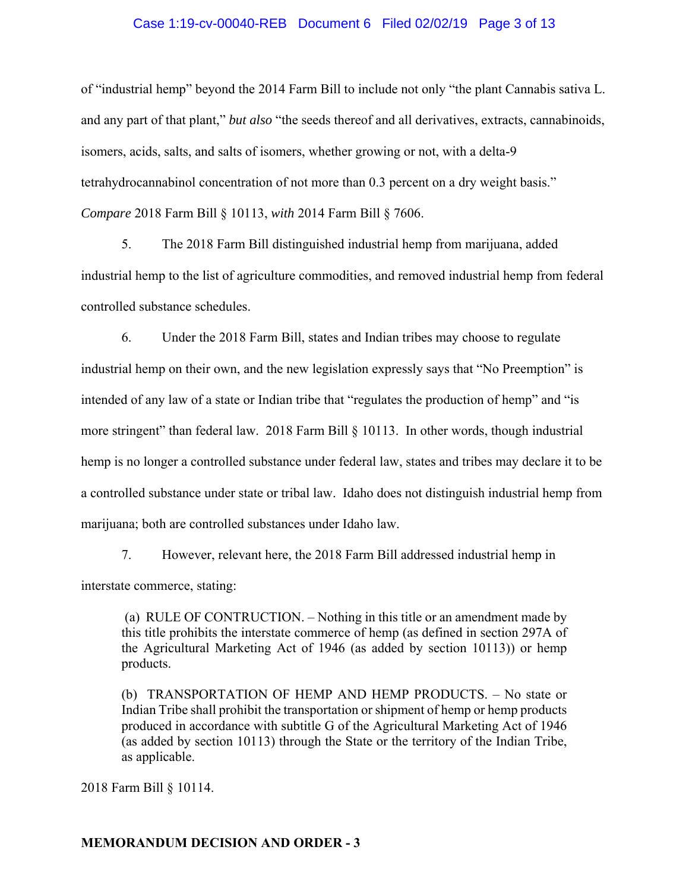#### Case 1:19-cv-00040-REB Document 6 Filed 02/02/19 Page 3 of 13

of "industrial hemp" beyond the 2014 Farm Bill to include not only "the plant Cannabis sativa L. and any part of that plant," *but also* "the seeds thereof and all derivatives, extracts, cannabinoids, isomers, acids, salts, and salts of isomers, whether growing or not, with a delta-9 tetrahydrocannabinol concentration of not more than 0.3 percent on a dry weight basis." *Compare* 2018 Farm Bill § 10113, *with* 2014 Farm Bill § 7606.

5. The 2018 Farm Bill distinguished industrial hemp from marijuana, added industrial hemp to the list of agriculture commodities, and removed industrial hemp from federal controlled substance schedules.

6. Under the 2018 Farm Bill, states and Indian tribes may choose to regulate industrial hemp on their own, and the new legislation expressly says that "No Preemption" is intended of any law of a state or Indian tribe that "regulates the production of hemp" and "is more stringent" than federal law. 2018 Farm Bill § 10113. In other words, though industrial hemp is no longer a controlled substance under federal law, states and tribes may declare it to be a controlled substance under state or tribal law. Idaho does not distinguish industrial hemp from marijuana; both are controlled substances under Idaho law.

7. However, relevant here, the 2018 Farm Bill addressed industrial hemp in interstate commerce, stating:

 (a) RULE OF CONTRUCTION. – Nothing in this title or an amendment made by this title prohibits the interstate commerce of hemp (as defined in section 297A of the Agricultural Marketing Act of 1946 (as added by section 10113)) or hemp products.

(b) TRANSPORTATION OF HEMP AND HEMP PRODUCTS. – No state or Indian Tribe shall prohibit the transportation or shipment of hemp or hemp products produced in accordance with subtitle G of the Agricultural Marketing Act of 1946 (as added by section 10113) through the State or the territory of the Indian Tribe, as applicable.

2018 Farm Bill § 10114.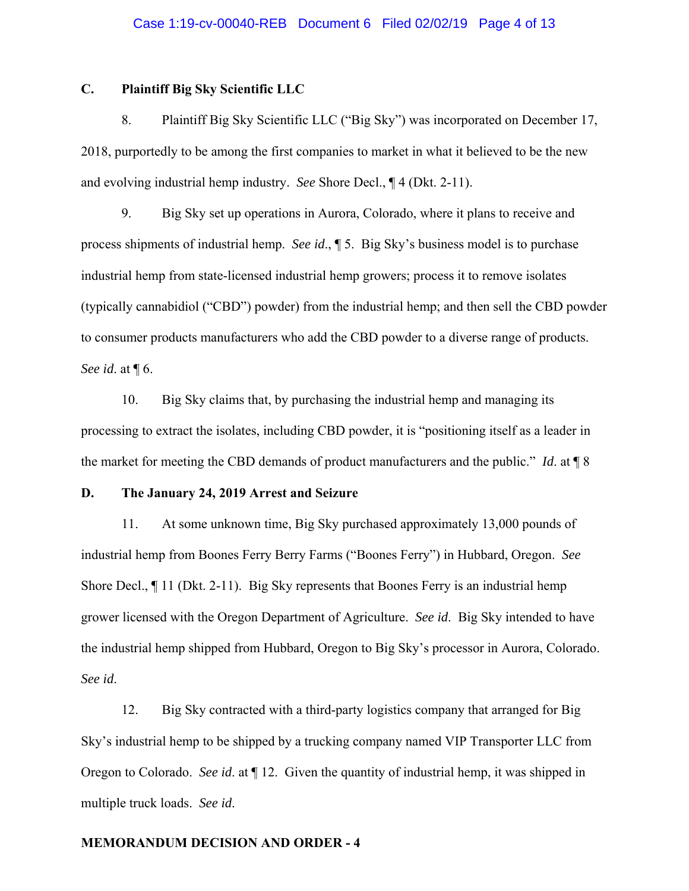## **C. Plaintiff Big Sky Scientific LLC**

8. Plaintiff Big Sky Scientific LLC ("Big Sky") was incorporated on December 17, 2018, purportedly to be among the first companies to market in what it believed to be the new and evolving industrial hemp industry. *See* Shore Decl., ¶ 4 (Dkt. 2-11).

9. Big Sky set up operations in Aurora, Colorado, where it plans to receive and process shipments of industrial hemp. *See id*., ¶ 5. Big Sky's business model is to purchase industrial hemp from state-licensed industrial hemp growers; process it to remove isolates (typically cannabidiol ("CBD") powder) from the industrial hemp; and then sell the CBD powder to consumer products manufacturers who add the CBD powder to a diverse range of products. *See id*. at ¶ 6.

10. Big Sky claims that, by purchasing the industrial hemp and managing its processing to extract the isolates, including CBD powder, it is "positioning itself as a leader in the market for meeting the CBD demands of product manufacturers and the public." *Id*. at ¶ 8

## **D. The January 24, 2019 Arrest and Seizure**

11. At some unknown time, Big Sky purchased approximately 13,000 pounds of industrial hemp from Boones Ferry Berry Farms ("Boones Ferry") in Hubbard, Oregon. *See*  Shore Decl., ¶ 11 (Dkt. 2-11). Big Sky represents that Boones Ferry is an industrial hemp grower licensed with the Oregon Department of Agriculture. *See id*. Big Sky intended to have the industrial hemp shipped from Hubbard, Oregon to Big Sky's processor in Aurora, Colorado. *See id*.

12. Big Sky contracted with a third-party logistics company that arranged for Big Sky's industrial hemp to be shipped by a trucking company named VIP Transporter LLC from Oregon to Colorado. *See id*. at ¶ 12. Given the quantity of industrial hemp, it was shipped in multiple truck loads. *See id*.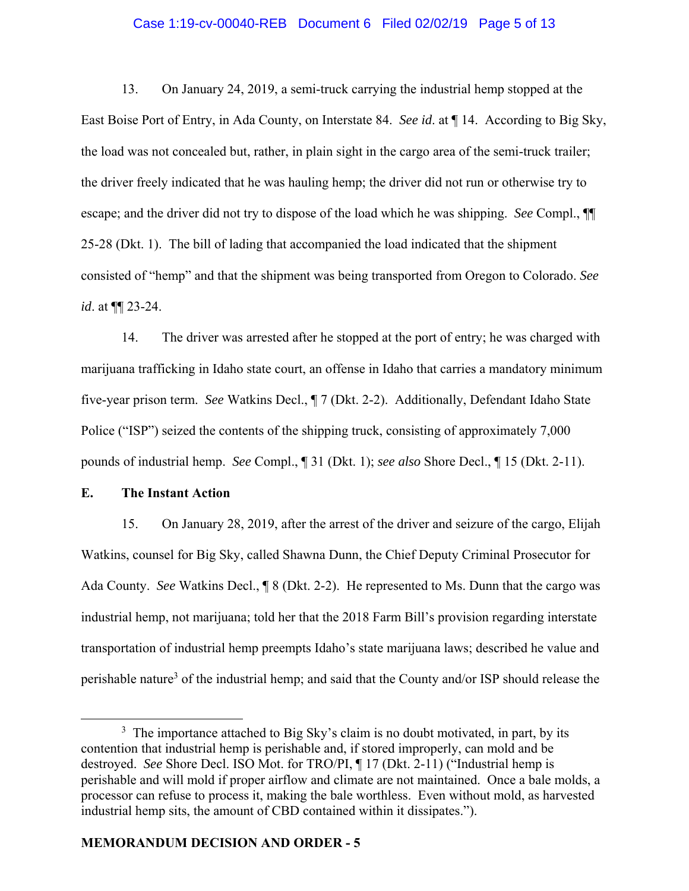#### Case 1:19-cv-00040-REB Document 6 Filed 02/02/19 Page 5 of 13

13. On January 24, 2019, a semi-truck carrying the industrial hemp stopped at the East Boise Port of Entry, in Ada County, on Interstate 84. *See id*. at ¶ 14. According to Big Sky, the load was not concealed but, rather, in plain sight in the cargo area of the semi-truck trailer; the driver freely indicated that he was hauling hemp; the driver did not run or otherwise try to escape; and the driver did not try to dispose of the load which he was shipping. *See* Compl., ¶¶ 25-28 (Dkt. 1). The bill of lading that accompanied the load indicated that the shipment consisted of "hemp" and that the shipment was being transported from Oregon to Colorado. *See id*. at ¶¶ 23-24.

14. The driver was arrested after he stopped at the port of entry; he was charged with marijuana trafficking in Idaho state court, an offense in Idaho that carries a mandatory minimum five-year prison term. *See* Watkins Decl., ¶ 7 (Dkt. 2-2). Additionally, Defendant Idaho State Police ("ISP") seized the contents of the shipping truck, consisting of approximately 7,000 pounds of industrial hemp. *See* Compl., ¶ 31 (Dkt. 1); *see also* Shore Decl., ¶ 15 (Dkt. 2-11).

## **E. The Instant Action**

15. On January 28, 2019, after the arrest of the driver and seizure of the cargo, Elijah Watkins, counsel for Big Sky, called Shawna Dunn, the Chief Deputy Criminal Prosecutor for Ada County. *See* Watkins Decl., ¶ 8 (Dkt. 2-2). He represented to Ms. Dunn that the cargo was industrial hemp, not marijuana; told her that the 2018 Farm Bill's provision regarding interstate transportation of industrial hemp preempts Idaho's state marijuana laws; described he value and perishable nature<sup>3</sup> of the industrial hemp; and said that the County and/or ISP should release the

 $\frac{1}{3}$  $3$  The importance attached to Big Sky's claim is no doubt motivated, in part, by its contention that industrial hemp is perishable and, if stored improperly, can mold and be destroyed. *See* Shore Decl. ISO Mot. for TRO/PI, ¶ 17 (Dkt. 2-11) ("Industrial hemp is perishable and will mold if proper airflow and climate are not maintained. Once a bale molds, a processor can refuse to process it, making the bale worthless. Even without mold, as harvested industrial hemp sits, the amount of CBD contained within it dissipates.").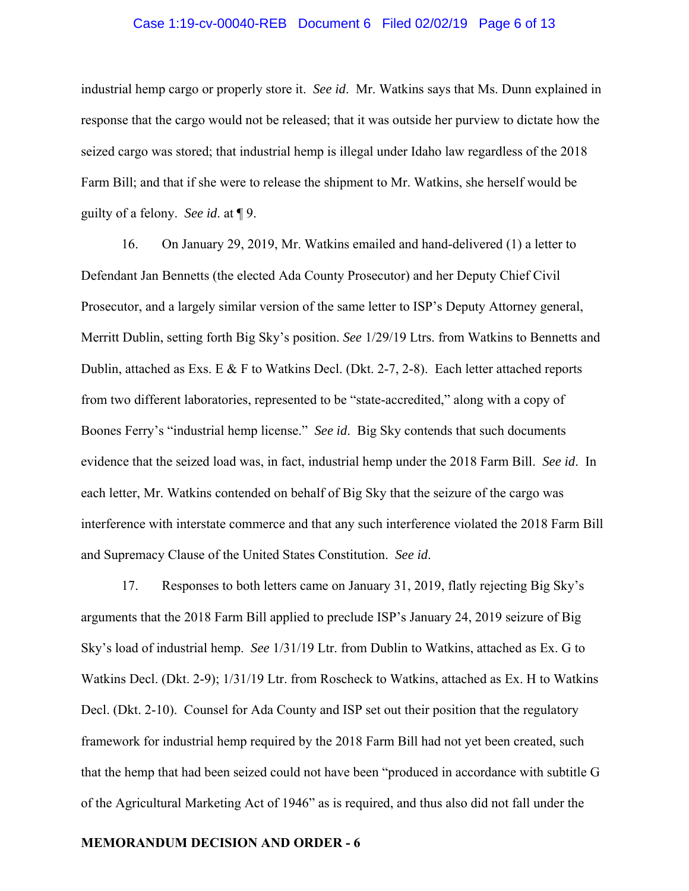#### Case 1:19-cv-00040-REB Document 6 Filed 02/02/19 Page 6 of 13

industrial hemp cargo or properly store it. *See id*. Mr. Watkins says that Ms. Dunn explained in response that the cargo would not be released; that it was outside her purview to dictate how the seized cargo was stored; that industrial hemp is illegal under Idaho law regardless of the 2018 Farm Bill; and that if she were to release the shipment to Mr. Watkins, she herself would be guilty of a felony. *See id*. at ¶ 9.

16. On January 29, 2019, Mr. Watkins emailed and hand-delivered (1) a letter to Defendant Jan Bennetts (the elected Ada County Prosecutor) and her Deputy Chief Civil Prosecutor, and a largely similar version of the same letter to ISP's Deputy Attorney general, Merritt Dublin, setting forth Big Sky's position. *See* 1/29/19 Ltrs. from Watkins to Bennetts and Dublin, attached as Exs. E  $\&$  F to Watkins Decl. (Dkt. 2-7, 2-8). Each letter attached reports from two different laboratories, represented to be "state-accredited," along with a copy of Boones Ferry's "industrial hemp license." *See id*. Big Sky contends that such documents evidence that the seized load was, in fact, industrial hemp under the 2018 Farm Bill. *See id*. In each letter, Mr. Watkins contended on behalf of Big Sky that the seizure of the cargo was interference with interstate commerce and that any such interference violated the 2018 Farm Bill and Supremacy Clause of the United States Constitution. *See id*.

17. Responses to both letters came on January 31, 2019, flatly rejecting Big Sky's arguments that the 2018 Farm Bill applied to preclude ISP's January 24, 2019 seizure of Big Sky's load of industrial hemp. *See* 1/31/19 Ltr. from Dublin to Watkins, attached as Ex. G to Watkins Decl. (Dkt. 2-9); 1/31/19 Ltr. from Roscheck to Watkins, attached as Ex. H to Watkins Decl. (Dkt. 2-10). Counsel for Ada County and ISP set out their position that the regulatory framework for industrial hemp required by the 2018 Farm Bill had not yet been created, such that the hemp that had been seized could not have been "produced in accordance with subtitle G of the Agricultural Marketing Act of 1946" as is required, and thus also did not fall under the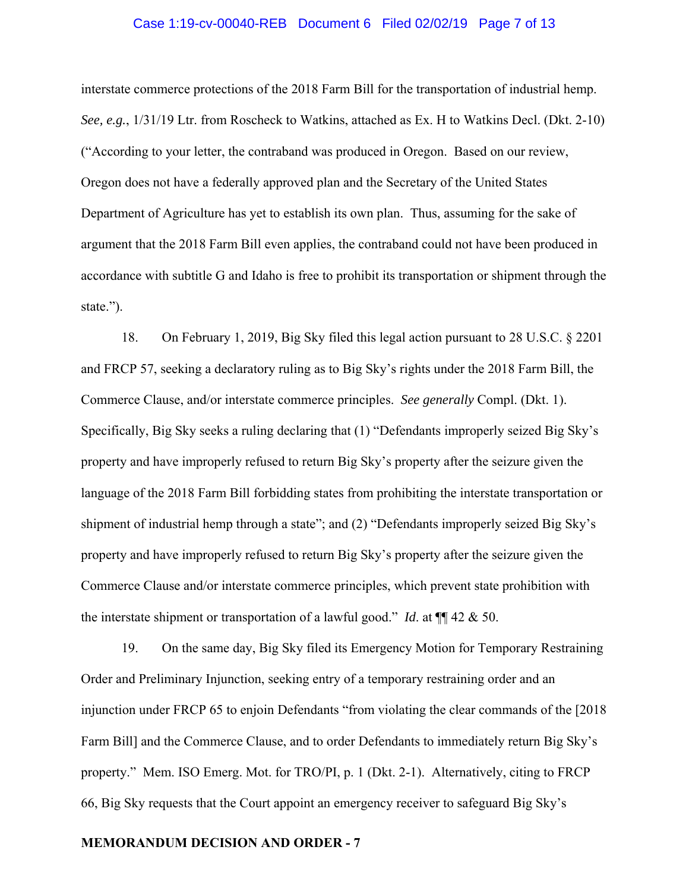#### Case 1:19-cv-00040-REB Document 6 Filed 02/02/19 Page 7 of 13

interstate commerce protections of the 2018 Farm Bill for the transportation of industrial hemp. *See, e.g.*, 1/31/19 Ltr. from Roscheck to Watkins, attached as Ex. H to Watkins Decl. (Dkt. 2-10) ("According to your letter, the contraband was produced in Oregon. Based on our review, Oregon does not have a federally approved plan and the Secretary of the United States Department of Agriculture has yet to establish its own plan. Thus, assuming for the sake of argument that the 2018 Farm Bill even applies, the contraband could not have been produced in accordance with subtitle G and Idaho is free to prohibit its transportation or shipment through the state.").

18. On February 1, 2019, Big Sky filed this legal action pursuant to 28 U.S.C. § 2201 and FRCP 57, seeking a declaratory ruling as to Big Sky's rights under the 2018 Farm Bill, the Commerce Clause, and/or interstate commerce principles. *See generally* Compl. (Dkt. 1). Specifically, Big Sky seeks a ruling declaring that (1) "Defendants improperly seized Big Sky's property and have improperly refused to return Big Sky's property after the seizure given the language of the 2018 Farm Bill forbidding states from prohibiting the interstate transportation or shipment of industrial hemp through a state"; and (2) "Defendants improperly seized Big Sky's property and have improperly refused to return Big Sky's property after the seizure given the Commerce Clause and/or interstate commerce principles, which prevent state prohibition with the interstate shipment or transportation of a lawful good." *Id*. at ¶¶ 42 & 50.

19. On the same day, Big Sky filed its Emergency Motion for Temporary Restraining Order and Preliminary Injunction, seeking entry of a temporary restraining order and an injunction under FRCP 65 to enjoin Defendants "from violating the clear commands of the [2018 Farm Bill] and the Commerce Clause, and to order Defendants to immediately return Big Sky's property." Mem. ISO Emerg. Mot. for TRO/PI, p. 1 (Dkt. 2-1). Alternatively, citing to FRCP 66, Big Sky requests that the Court appoint an emergency receiver to safeguard Big Sky's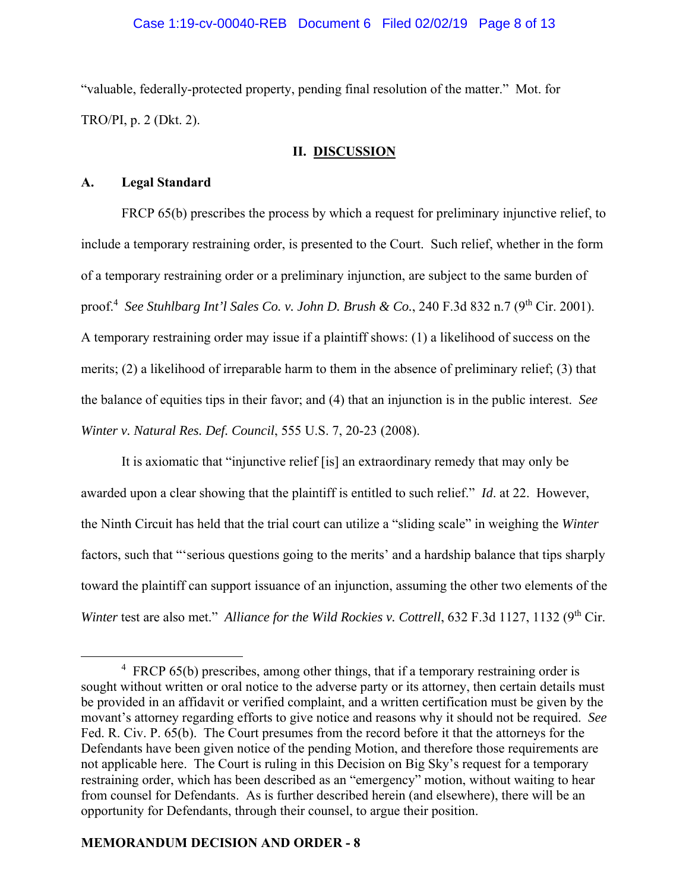"valuable, federally-protected property, pending final resolution of the matter." Mot. for TRO/PI, p. 2 (Dkt. 2).

# **II. DISCUSSION**

# **A. Legal Standard**

FRCP 65(b) prescribes the process by which a request for preliminary injunctive relief, to include a temporary restraining order, is presented to the Court. Such relief, whether in the form of a temporary restraining order or a preliminary injunction, are subject to the same burden of proof.<sup>4</sup> See Stuhlbarg Int'l Sales Co. v. John D. Brush & Co., 240 F.3d 832 n.7 (9<sup>th</sup> Cir. 2001). A temporary restraining order may issue if a plaintiff shows: (1) a likelihood of success on the merits; (2) a likelihood of irreparable harm to them in the absence of preliminary relief; (3) that the balance of equities tips in their favor; and (4) that an injunction is in the public interest. *See Winter v. Natural Res. Def. Council*, 555 U.S. 7, 20-23 (2008).

 It is axiomatic that "injunctive relief [is] an extraordinary remedy that may only be awarded upon a clear showing that the plaintiff is entitled to such relief." *Id*. at 22. However, the Ninth Circuit has held that the trial court can utilize a "sliding scale" in weighing the *Winter*  factors, such that "'serious questions going to the merits' and a hardship balance that tips sharply toward the plaintiff can support issuance of an injunction, assuming the other two elements of the *Winter* test are also met." *Alliance for the Wild Rockies v. Cottrell*, 632 F.3d 1127, 1132 (9<sup>th</sup> Cir.

 $\frac{1}{4}$ <sup>4</sup> FRCP 65(b) prescribes, among other things, that if a temporary restraining order is sought without written or oral notice to the adverse party or its attorney, then certain details must be provided in an affidavit or verified complaint, and a written certification must be given by the movant's attorney regarding efforts to give notice and reasons why it should not be required. *See* Fed. R. Civ. P. 65(b). The Court presumes from the record before it that the attorneys for the Defendants have been given notice of the pending Motion, and therefore those requirements are not applicable here. The Court is ruling in this Decision on Big Sky's request for a temporary restraining order, which has been described as an "emergency" motion, without waiting to hear from counsel for Defendants. As is further described herein (and elsewhere), there will be an opportunity for Defendants, through their counsel, to argue their position.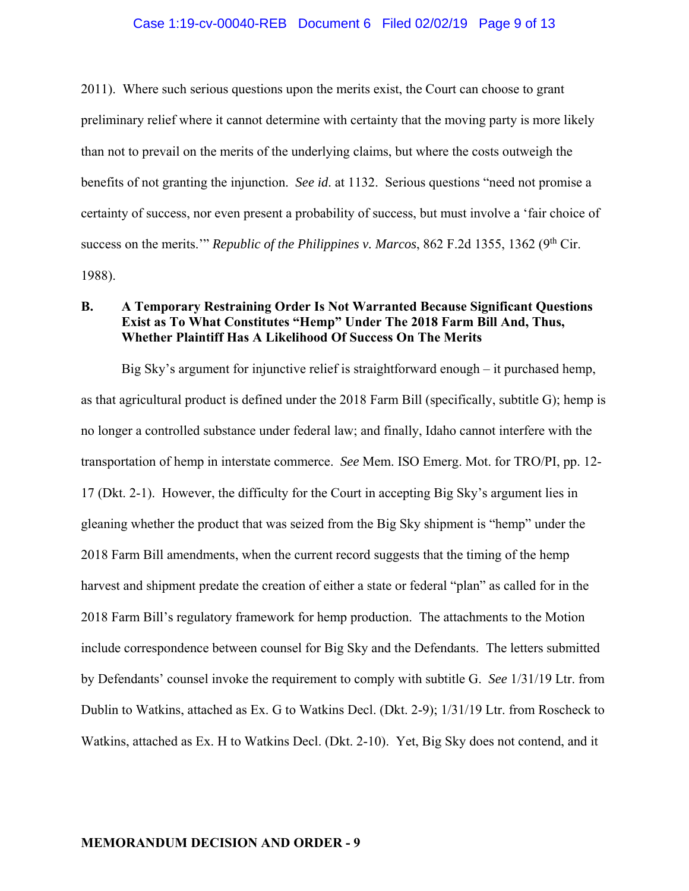#### Case 1:19-cv-00040-REB Document 6 Filed 02/02/19 Page 9 of 13

2011). Where such serious questions upon the merits exist, the Court can choose to grant preliminary relief where it cannot determine with certainty that the moving party is more likely than not to prevail on the merits of the underlying claims, but where the costs outweigh the benefits of not granting the injunction. *See id*. at 1132. Serious questions "need not promise a certainty of success, nor even present a probability of success, but must involve a 'fair choice of success on the merits." *Republic of the Philippines v. Marcos*, 862 F.2d 1355, 1362 (9<sup>th</sup> Cir. 1988).

# **B. A Temporary Restraining Order Is Not Warranted Because Significant Questions Exist as To What Constitutes "Hemp" Under The 2018 Farm Bill And, Thus, Whether Plaintiff Has A Likelihood Of Success On The Merits**

Big Sky's argument for injunctive relief is straightforward enough – it purchased hemp, as that agricultural product is defined under the 2018 Farm Bill (specifically, subtitle G); hemp is no longer a controlled substance under federal law; and finally, Idaho cannot interfere with the transportation of hemp in interstate commerce. *See* Mem. ISO Emerg. Mot. for TRO/PI, pp. 12- 17 (Dkt. 2-1). However, the difficulty for the Court in accepting Big Sky's argument lies in gleaning whether the product that was seized from the Big Sky shipment is "hemp" under the 2018 Farm Bill amendments, when the current record suggests that the timing of the hemp harvest and shipment predate the creation of either a state or federal "plan" as called for in the 2018 Farm Bill's regulatory framework for hemp production. The attachments to the Motion include correspondence between counsel for Big Sky and the Defendants. The letters submitted by Defendants' counsel invoke the requirement to comply with subtitle G. *See* 1/31/19 Ltr. from Dublin to Watkins, attached as Ex. G to Watkins Decl. (Dkt. 2-9); 1/31/19 Ltr. from Roscheck to Watkins, attached as Ex. H to Watkins Decl. (Dkt. 2-10). Yet, Big Sky does not contend, and it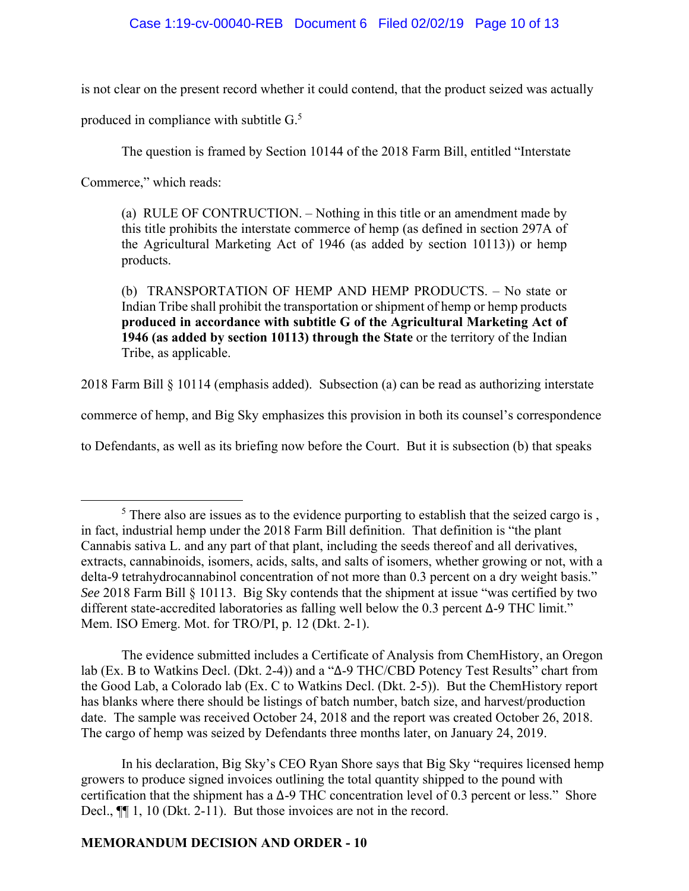# Case 1:19-cv-00040-REB Document 6 Filed 02/02/19 Page 10 of 13

is not clear on the present record whether it could contend, that the product seized was actually

produced in compliance with subtitle G.<sup>5</sup>

The question is framed by Section 10144 of the 2018 Farm Bill, entitled "Interstate

Commerce," which reads:

(a) RULE OF CONTRUCTION. – Nothing in this title or an amendment made by this title prohibits the interstate commerce of hemp (as defined in section 297A of the Agricultural Marketing Act of 1946 (as added by section 10113)) or hemp products.

(b) TRANSPORTATION OF HEMP AND HEMP PRODUCTS. – No state or Indian Tribe shall prohibit the transportation or shipment of hemp or hemp products **produced in accordance with subtitle G of the Agricultural Marketing Act of 1946 (as added by section 10113) through the State** or the territory of the Indian Tribe, as applicable.

2018 Farm Bill § 10114 (emphasis added). Subsection (a) can be read as authorizing interstate

commerce of hemp, and Big Sky emphasizes this provision in both its counsel's correspondence

to Defendants, as well as its briefing now before the Court. But it is subsection (b) that speaks

The evidence submitted includes a Certificate of Analysis from ChemHistory, an Oregon lab (Ex. B to Watkins Decl. (Dkt. 2-4)) and a "∆-9 THC/CBD Potency Test Results" chart from the Good Lab, a Colorado lab (Ex. C to Watkins Decl. (Dkt. 2-5)). But the ChemHistory report has blanks where there should be listings of batch number, batch size, and harvest/production date. The sample was received October 24, 2018 and the report was created October 26, 2018. The cargo of hemp was seized by Defendants three months later, on January 24, 2019.

In his declaration, Big Sky's CEO Ryan Shore says that Big Sky "requires licensed hemp growers to produce signed invoices outlining the total quantity shipped to the pound with certification that the shipment has a ∆-9 THC concentration level of 0.3 percent or less." Shore Decl.,  $\P$ [1, 10 (Dkt. 2-11). But those invoices are not in the record.

 $\frac{1}{5}$  $<sup>5</sup>$  There also are issues as to the evidence purporting to establish that the seized cargo is,</sup> in fact, industrial hemp under the 2018 Farm Bill definition. That definition is "the plant Cannabis sativa L. and any part of that plant, including the seeds thereof and all derivatives, extracts, cannabinoids, isomers, acids, salts, and salts of isomers, whether growing or not, with a delta-9 tetrahydrocannabinol concentration of not more than 0.3 percent on a dry weight basis." *See* 2018 Farm Bill § 10113. Big Sky contends that the shipment at issue "was certified by two different state-accredited laboratories as falling well below the 0.3 percent ∆-9 THC limit." Mem. ISO Emerg. Mot. for TRO/PI, p. 12 (Dkt. 2-1).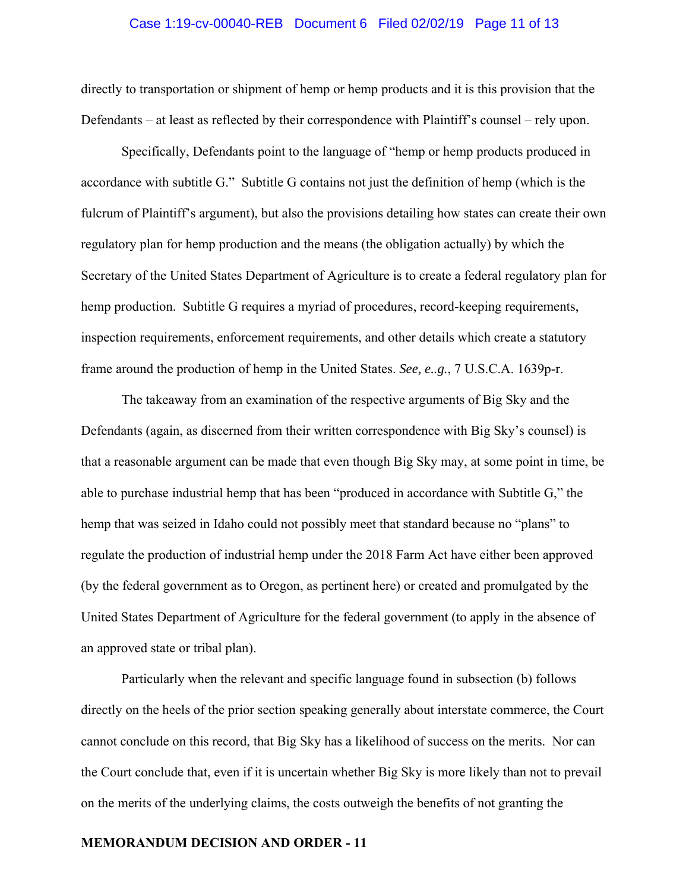#### Case 1:19-cv-00040-REB Document 6 Filed 02/02/19 Page 11 of 13

directly to transportation or shipment of hemp or hemp products and it is this provision that the Defendants – at least as reflected by their correspondence with Plaintiff's counsel – rely upon.

Specifically, Defendants point to the language of "hemp or hemp products produced in accordance with subtitle G." Subtitle G contains not just the definition of hemp (which is the fulcrum of Plaintiff's argument), but also the provisions detailing how states can create their own regulatory plan for hemp production and the means (the obligation actually) by which the Secretary of the United States Department of Agriculture is to create a federal regulatory plan for hemp production. Subtitle G requires a myriad of procedures, record-keeping requirements, inspection requirements, enforcement requirements, and other details which create a statutory frame around the production of hemp in the United States. *See, e..g.*, 7 U.S.C.A. 1639p-r.

The takeaway from an examination of the respective arguments of Big Sky and the Defendants (again, as discerned from their written correspondence with Big Sky's counsel) is that a reasonable argument can be made that even though Big Sky may, at some point in time, be able to purchase industrial hemp that has been "produced in accordance with Subtitle G," the hemp that was seized in Idaho could not possibly meet that standard because no "plans" to regulate the production of industrial hemp under the 2018 Farm Act have either been approved (by the federal government as to Oregon, as pertinent here) or created and promulgated by the United States Department of Agriculture for the federal government (to apply in the absence of an approved state or tribal plan).

Particularly when the relevant and specific language found in subsection (b) follows directly on the heels of the prior section speaking generally about interstate commerce, the Court cannot conclude on this record, that Big Sky has a likelihood of success on the merits. Nor can the Court conclude that, even if it is uncertain whether Big Sky is more likely than not to prevail on the merits of the underlying claims, the costs outweigh the benefits of not granting the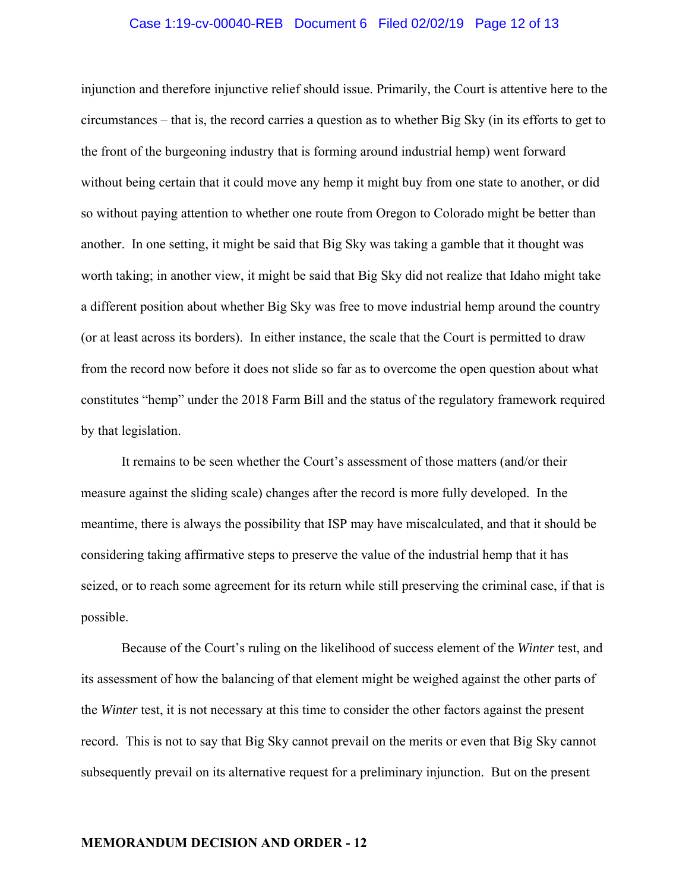#### Case 1:19-cv-00040-REB Document 6 Filed 02/02/19 Page 12 of 13

injunction and therefore injunctive relief should issue. Primarily, the Court is attentive here to the circumstances – that is, the record carries a question as to whether Big Sky (in its efforts to get to the front of the burgeoning industry that is forming around industrial hemp) went forward without being certain that it could move any hemp it might buy from one state to another, or did so without paying attention to whether one route from Oregon to Colorado might be better than another. In one setting, it might be said that Big Sky was taking a gamble that it thought was worth taking; in another view, it might be said that Big Sky did not realize that Idaho might take a different position about whether Big Sky was free to move industrial hemp around the country (or at least across its borders). In either instance, the scale that the Court is permitted to draw from the record now before it does not slide so far as to overcome the open question about what constitutes "hemp" under the 2018 Farm Bill and the status of the regulatory framework required by that legislation.

It remains to be seen whether the Court's assessment of those matters (and/or their measure against the sliding scale) changes after the record is more fully developed. In the meantime, there is always the possibility that ISP may have miscalculated, and that it should be considering taking affirmative steps to preserve the value of the industrial hemp that it has seized, or to reach some agreement for its return while still preserving the criminal case, if that is possible.

 Because of the Court's ruling on the likelihood of success element of the *Winter* test, and its assessment of how the balancing of that element might be weighed against the other parts of the *Winter* test, it is not necessary at this time to consider the other factors against the present record. This is not to say that Big Sky cannot prevail on the merits or even that Big Sky cannot subsequently prevail on its alternative request for a preliminary injunction. But on the present